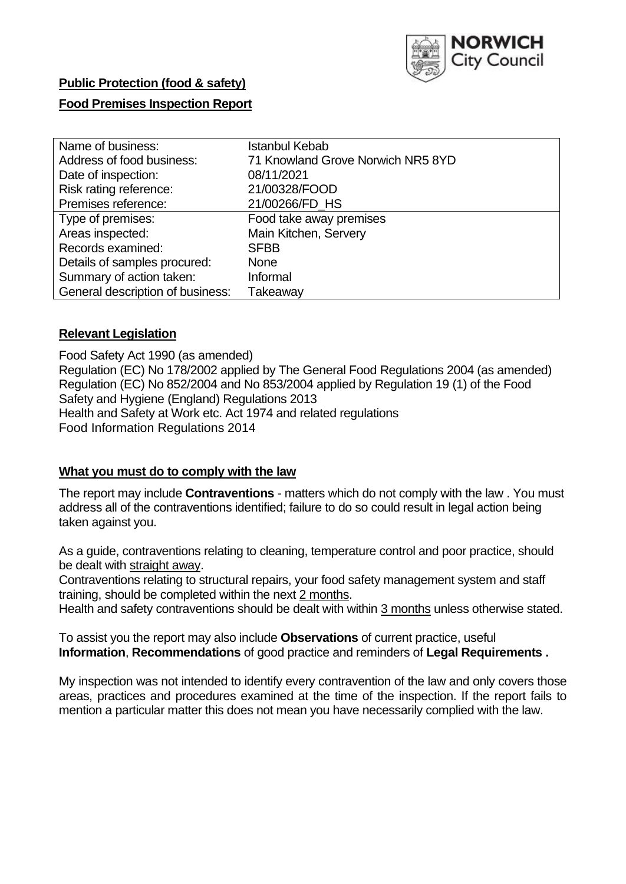

## **Public Protection (food & safety)**

## **Food Premises Inspection Report**

| Name of business:                | Istanbul Kebab                    |
|----------------------------------|-----------------------------------|
| Address of food business:        | 71 Knowland Grove Norwich NR5 8YD |
| Date of inspection:              | 08/11/2021                        |
| Risk rating reference:           | 21/00328/FOOD                     |
| Premises reference:              | 21/00266/FD_HS                    |
| Type of premises:                | Food take away premises           |
| Areas inspected:                 | Main Kitchen, Servery             |
| Records examined:                | <b>SFBB</b>                       |
| Details of samples procured:     | <b>None</b>                       |
| Summary of action taken:         | Informal                          |
| General description of business: | Takeaway                          |

#### **Relevant Legislation**

 Food Safety Act 1990 (as amended) Regulation (EC) No 178/2002 applied by The General Food Regulations 2004 (as amended) Regulation (EC) No 852/2004 and No 853/2004 applied by Regulation 19 (1) of the Food Safety and Hygiene (England) Regulations 2013 Health and Safety at Work etc. Act 1974 and related regulations Food Information Regulations 2014

#### **What you must do to comply with the law**

 The report may include **Contraventions** - matters which do not comply with the law . You must address all of the contraventions identified; failure to do so could result in legal action being taken against you.

 As a guide, contraventions relating to cleaning, temperature control and poor practice, should be dealt with straight away.

 Contraventions relating to structural repairs, your food safety management system and staff training, should be completed within the next 2 months.

Health and safety contraventions should be dealt with within 3 months unless otherwise stated.

 To assist you the report may also include **Observations** of current practice, useful **Information**, **Recommendations** of good practice and reminders of **Legal Requirements .** 

 My inspection was not intended to identify every contravention of the law and only covers those areas, practices and procedures examined at the time of the inspection. If the report fails to mention a particular matter this does not mean you have necessarily complied with the law.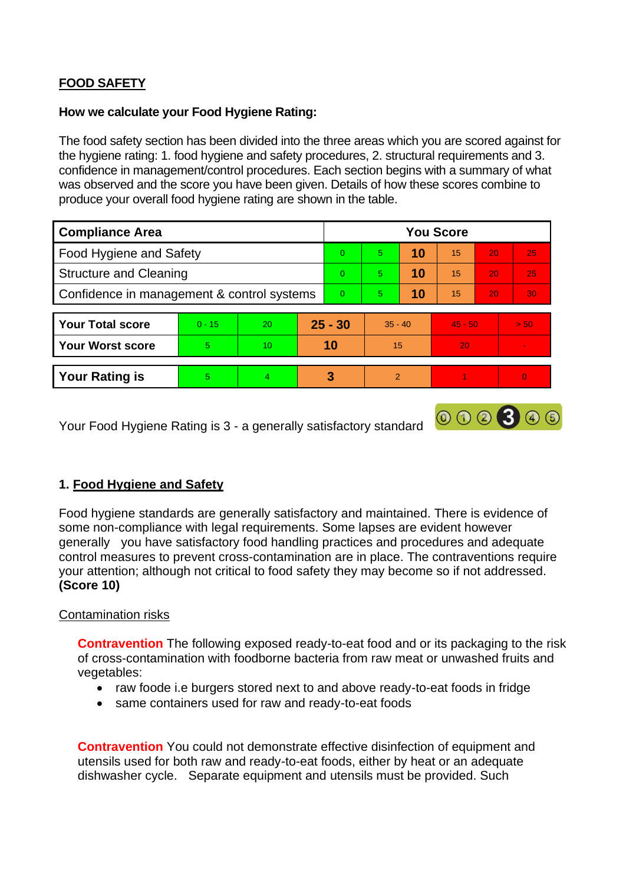# **FOOD SAFETY**

#### **How we calculate your Food Hygiene Rating:**

 The food safety section has been divided into the three areas which you are scored against for the hygiene rating: 1. food hygiene and safety procedures, 2. structural requirements and 3. confidence in management/control procedures. Each section begins with a summary of what was observed and the score you have been given. Details of how these scores combine to produce your overall food hygiene rating are shown in the table.

| <b>Compliance Area</b>                     |          |    |           | <b>You Score</b> |               |    |           |    |          |  |  |
|--------------------------------------------|----------|----|-----------|------------------|---------------|----|-----------|----|----------|--|--|
| <b>Food Hygiene and Safety</b>             |          |    |           | $\Omega$         | 5             | 10 | 15        | 20 | 25       |  |  |
| <b>Structure and Cleaning</b>              |          |    | $\Omega$  | 5                | 10            | 15 | 20        | 25 |          |  |  |
| Confidence in management & control systems |          |    | $\Omega$  | 5                | 10            | 15 | 20        | 30 |          |  |  |
|                                            |          |    |           |                  |               |    |           |    |          |  |  |
| <b>Your Total score</b>                    | $0 - 15$ | 20 | $25 - 30$ |                  | $35 - 40$     |    | $45 - 50$ |    | > 50     |  |  |
| <b>Your Worst score</b>                    | 5        | 10 |           | 10               | 15            |    | 20        |    |          |  |  |
|                                            |          |    |           |                  |               |    |           |    |          |  |  |
| <b>Your Rating is</b>                      | 5.       | 4  |           | 3                | $\mathcal{P}$ |    |           |    | $\Omega$ |  |  |

Your Food Hygiene Rating is 3 - a generally satisfactory standard

# **1. Food Hygiene and Safety**

 generally you have satisfactory food handling practices and procedures and adequate Food hygiene standards are generally satisfactory and maintained. There is evidence of some non-compliance with legal requirements. Some lapses are evident however control measures to prevent cross-contamination are in place. The contraventions require your attention; although not critical to food safety they may become so if not addressed. **(Score 10)** 

000300

## Contamination risks

**Contravention** The following exposed ready-to-eat food and or its packaging to the risk of cross-contamination with foodborne bacteria from raw meat or unwashed fruits and vegetables:

- raw foode i.e burgers stored next to and above ready-to-eat foods in fridge
- same containers used for raw and ready-to-eat foods

**Contravention** You could not demonstrate effective disinfection of equipment and utensils used for both raw and ready-to-eat foods, either by heat or an adequate dishwasher cycle. Separate equipment and utensils must be provided. Such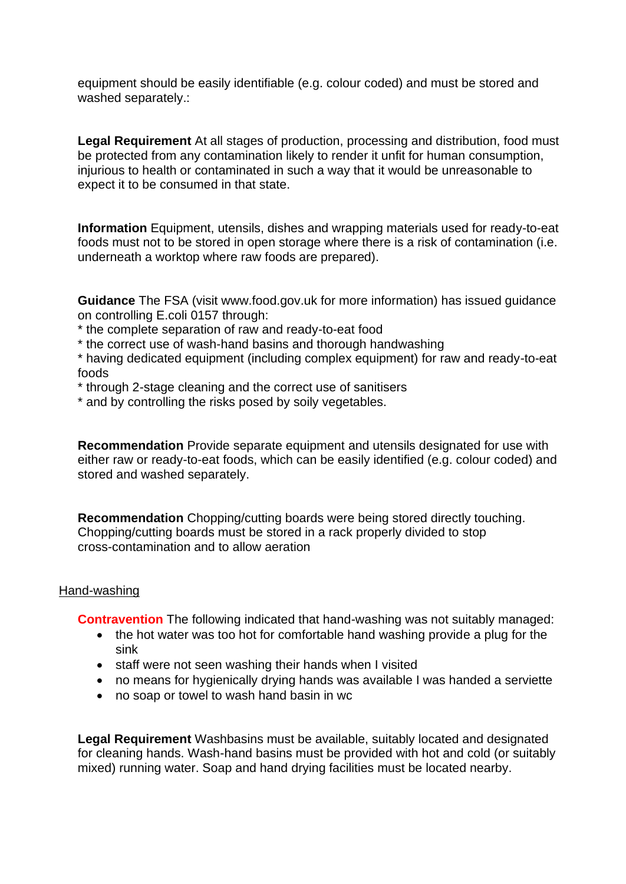equipment should be easily identifiable (e.g. colour coded) and must be stored and washed separately.:

 injurious to health or contaminated in such a way that it would be unreasonable to **Legal Requirement** At all stages of production, processing and distribution, food must be protected from any contamination likely to render it unfit for human consumption, expect it to be consumed in that state.

 underneath a worktop where raw foods are prepared). **Information** Equipment, utensils, dishes and wrapping materials used for ready-to-eat foods must not to be stored in open storage where there is a risk of contamination (i.e.

 **Guidance** The FSA (visit <www.food.gov.uk> for more information) has issued guidance on controlling E.coli 0157 through:

\* the complete separation of raw and ready-to-eat food

\* the correct use of wash-hand basins and thorough handwashing

\* having dedicated equipment (including complex equipment) for raw and ready-to-eat foods

- \* through 2-stage cleaning and the correct use of sanitisers
- \* and by controlling the risks posed by soily vegetables.

**Recommendation** Provide separate equipment and utensils designated for use with either raw or ready-to-eat foods, which can be easily identified (e.g. colour coded) and stored and washed separately.

 Chopping/cutting boards must be stored in a rack properly divided to stop **Recommendation** Chopping/cutting boards were being stored directly touching. cross-contamination and to allow aeration

#### Hand-washing

**Contravention** The following indicated that hand-washing was not suitably managed:

- • the hot water was too hot for comfortable hand washing provide a plug for the sink
- staff were not seen washing their hands when I visited
- no means for hygienically drying hands was available I was handed a serviette
- no soap or towel to wash hand basin in wc

 **Legal Requirement** Washbasins must be available, suitably located and designated for cleaning hands. Wash-hand basins must be provided with hot and cold (or suitably mixed) running water. Soap and hand drying facilities must be located nearby.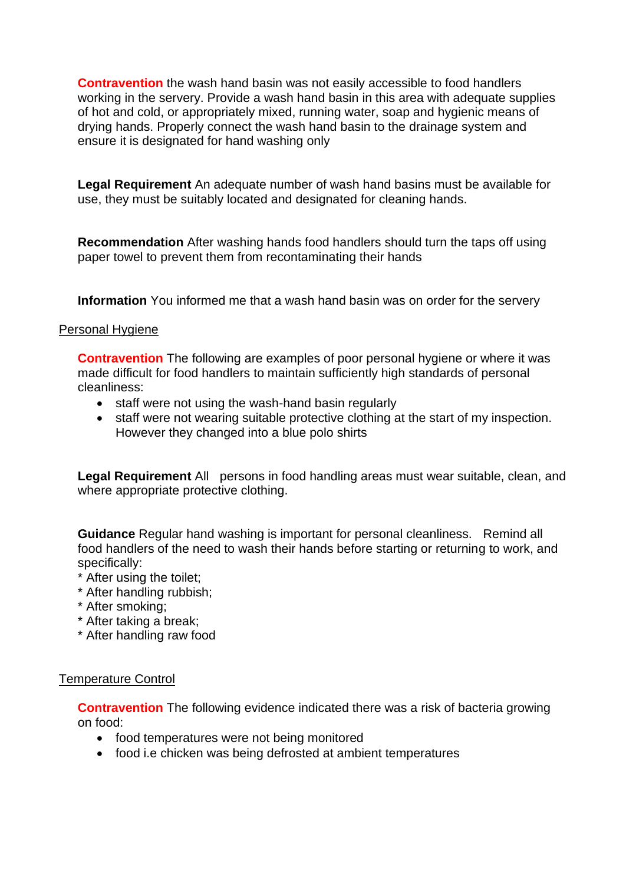**Contravention** the wash hand basin was not easily accessible to food handlers working in the servery. Provide a wash hand basin in this area with adequate supplies of hot and cold, or appropriately mixed, running water, soap and hygienic means of drying hands. Properly connect the wash hand basin to the drainage system and ensure it is designated for hand washing only

 **Legal Requirement** An adequate number of wash hand basins must be available for use, they must be suitably located and designated for cleaning hands.

 **Recommendation** After washing hands food handlers should turn the taps off using paper towel to prevent them from recontaminating their hands

**Information** You informed me that a wash hand basin was on order for the servery

# Personal Hygiene

 made difficult for food handlers to maintain sufficiently high standards of personal **Contravention** The following are examples of poor personal hygiene or where it was cleanliness:

- staff were not using the wash-hand basin regularly
- staff were not wearing suitable protective clothing at the start of my inspection. However they changed into a blue polo shirts

**Legal Requirement** All persons in food handling areas must wear suitable, clean, and where appropriate protective clothing.

 **Guidance** Regular hand washing is important for personal cleanliness. Remind all food handlers of the need to wash their hands before starting or returning to work, and specifically:

- \* After using the toilet;
- \* After handling rubbish;
- \* After smoking;
- \* After taking a break;
- \* After handling raw food

## Temperature Control

 **Contravention** The following evidence indicated there was a risk of bacteria growing on food:

- food temperatures were not being monitored
- food i.e chicken was being defrosted at ambient temperatures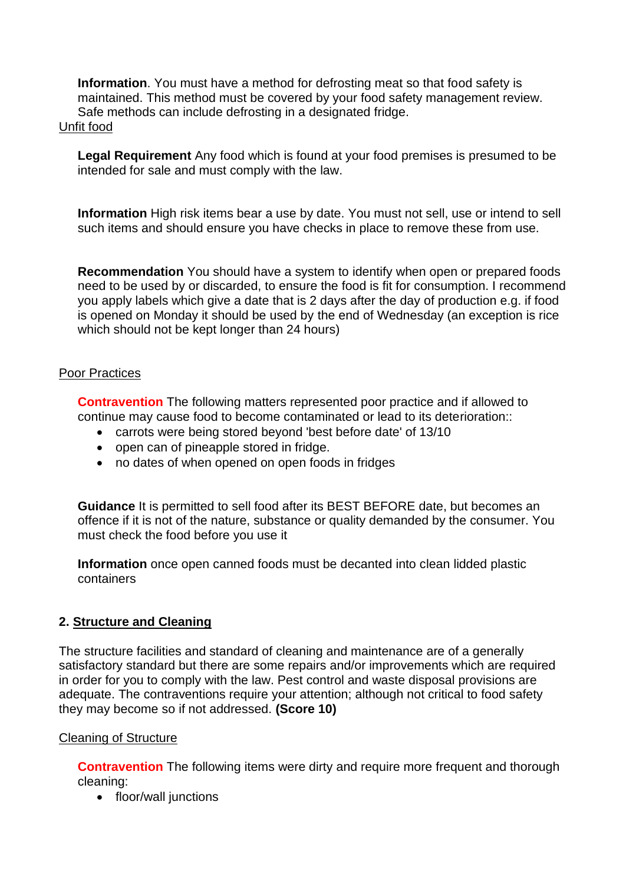**Information**. You must have a method for defrosting meat so that food safety is maintained. This method must be covered by your food safety management review. Safe methods can include defrosting in a designated fridge.

#### Unfit food

**Legal Requirement** Any food which is found at your food premises is presumed to be intended for sale and must comply with the law.

**Information** High risk items bear a use by date. You must not sell, use or intend to sell such items and should ensure you have checks in place to remove these from use.

**Recommendation** You should have a system to identify when open or prepared foods need to be used by or discarded, to ensure the food is fit for consumption. I recommend you apply labels which give a date that is 2 days after the day of production e.g. if food is opened on Monday it should be used by the end of Wednesday (an exception is rice which should not be kept longer than 24 hours)

# Poor Practices

 **Contravention** The following matters represented poor practice and if allowed to continue may cause food to become contaminated or lead to its deterioration::

- carrots were being stored beyond 'best before date' of 13/10
- open can of pineapple stored in fridge.
- no dates of when opened on open foods in fridges

 must check the food before you use it **Guidance** It is permitted to sell food after its BEST BEFORE date, but becomes an offence if it is not of the nature, substance or quality demanded by the consumer. You

**Information** once open canned foods must be decanted into clean lidded plastic containers

# **2. Structure and Cleaning**

The structure facilities and standard of cleaning and maintenance are of a generally satisfactory standard but there are some repairs and/or improvements which are required in order for you to comply with the law. Pest control and waste disposal provisions are adequate. The contraventions require your attention; although not critical to food safety they may become so if not addressed. **(Score 10)** 

## Cleaning of Structure

**Contravention** The following items were dirty and require more frequent and thorough cleaning:

• floor/wall junctions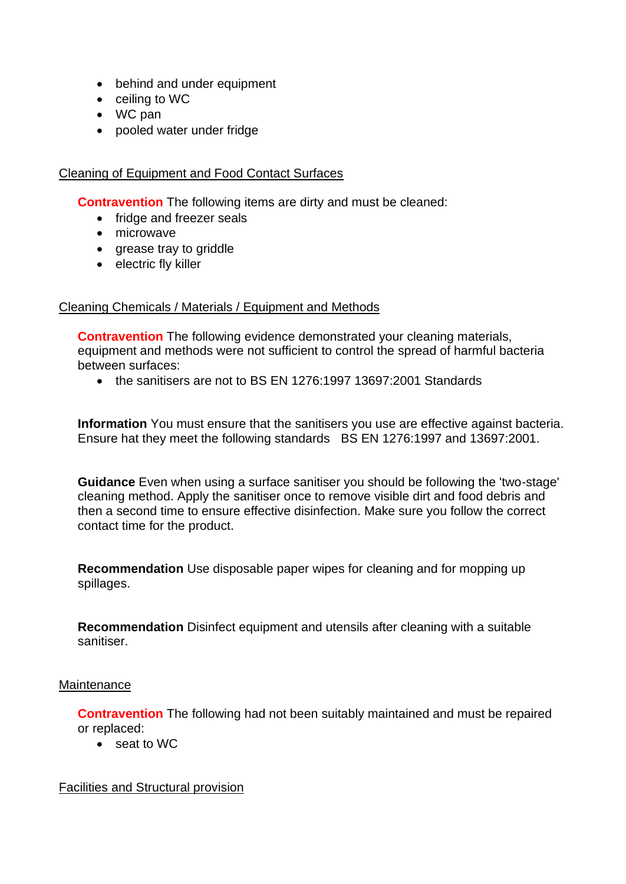- behind and under equipment
- ceiling to WC
- WC pan
- pooled water under fridge

#### Cleaning of Equipment and Food Contact Surfaces

**Contravention** The following items are dirty and must be cleaned:

- fridge and freezer seals
- microwave
- grease tray to griddle
- electric fly killer

## Cleaning Chemicals / Materials / Equipment and Methods

**Contravention** The following evidence demonstrated your cleaning materials, equipment and methods were not sufficient to control the spread of harmful bacteria between surfaces:

• the sanitisers are not to BS EN 1276:1997 13697:2001 Standards

 **Information** You must ensure that the sanitisers you use are effective against bacteria. Ensure hat they meet the following standards BS EN 1276:1997 and 13697:2001.

 **Guidance** Even when using a surface sanitiser you should be following the 'two-stage' cleaning method. Apply the sanitiser once to remove visible dirt and food debris and then a second time to ensure effective disinfection. Make sure you follow the correct contact time for the product.

**Recommendation** Use disposable paper wipes for cleaning and for mopping up spillages.

**Recommendation** Disinfect equipment and utensils after cleaning with a suitable sanitiser.

## **Maintenance**

**Contravention** The following had not been suitably maintained and must be repaired or replaced:

• seat to WC

#### Facilities and Structural provision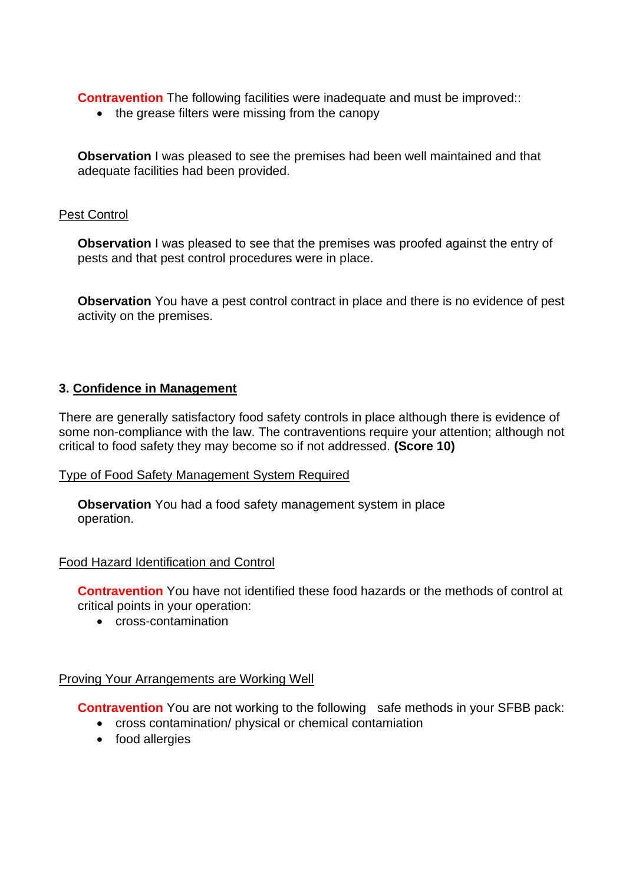**Contravention** The following facilities were inadequate and must be improved::

• the grease filters were missing from the canopy

 **Observation** I was pleased to see the premises had been well maintained and that adequate facilities had been provided.

#### Pest Control

**Observation** I was pleased to see that the premises was proofed against the entry of pests and that pest control procedures were in place.

 **Observation** You have a pest control contract in place and there is no evidence of pest activity on the premises.

## **3. Confidence in Management**

 There are generally satisfactory food safety controls in place although there is evidence of some non-compliance with the law. The contraventions require your attention; although not critical to food safety they may become so if not addressed. **(Score 10)** 

## Type of Food Safety Management System Required

**Observation** You had a food safety management system in place operation.

## Food Hazard Identification and Control

**Contravention** You have not identified these food hazards or the methods of control at critical points in your operation:

• cross-contamination

## Proving Your Arrangements are Working Well

**Contravention** You are not working to the following safe methods in your SFBB pack:

- cross contamination/ physical or chemical contamiation
- food allergies